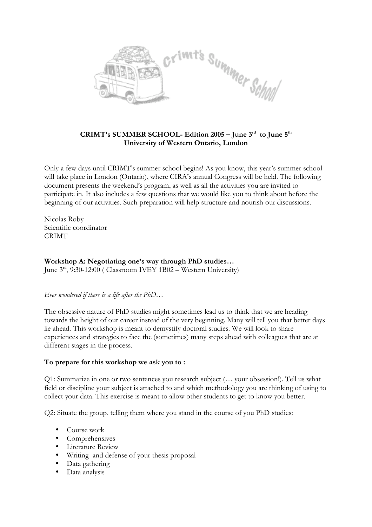

## **CRIMT's SUMMER SCHOOL- Edition 2005 – June 3rd to June 5th University of Western Ontario, London**

Only a few days until CRIMT's summer school begins! As you know, this year's summer school will take place in London (Ontario), where CIRA's annual Congress will be held. The following document presents the weekend's program, as well as all the activities you are invited to participate in. It also includes a few questions that we would like you to think about before the beginning of our activities. Such preparation will help structure and nourish our discussions.

Nicolas Roby Scientific coordinator CRIMT

# **Workshop A: Negotiating one's way through PhD studies…**

June 3rd, 9:30-12:00 (Classroom IVEY 1B02 - Western University)

### *Ever wondered if there is a life after the PhD…*

The obsessive nature of PhD studies might sometimes lead us to think that we are heading towards the height of our career instead of the very beginning. Many will tell you that better days lie ahead. This workshop is meant to demystify doctoral studies. We will look to share experiences and strategies to face the (sometimes) many steps ahead with colleagues that are at different stages in the process.

## **To prepare for this workshop we ask you to :**

Q1: Summarize in one or two sentences you research subject (… your obsession!). Tell us what field or discipline your subject is attached to and which methodology you are thinking of using to collect your data. This exercise is meant to allow other students to get to know you better.

Q2: Situate the group, telling them where you stand in the course of you PhD studies:

- Course work
- Comprehensives
- Literature Review
- Writing and defense of your thesis proposal
- Data gathering
- Data analysis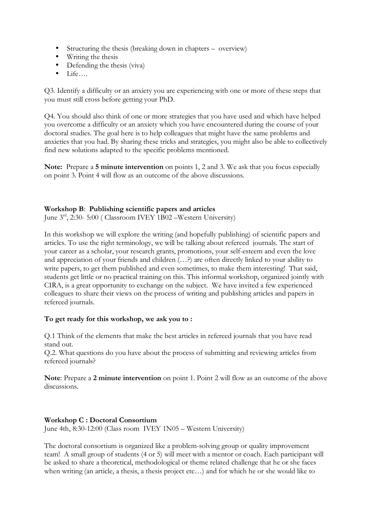- Structuring the thesis (breaking down in chapters overview)
- Writing the thesis
- Defending the thesis (viva)
- Life….

Q3. Identify a difficulty or an anxiety you are experiencing with one or more of these steps that you must still cross before getting your PhD.

Q4. You should also think of one or more strategies that you have used and which have helped you overcome a difficulty or an anxiety which you have encountered during the course of your doctoral studies. The goal here is to help colleagues that might have the same problems and anxieties that you had. By sharing these tricks and strategies, you might also be able to collectively find new solutions adapted to the specific problems mentioned.

**Note:** Prepare a **5 minute intervention** on points 1, 2 and 3. We ask that you focus especially on point 3. Point 4 will flow as an outcome of the above discussions.

### **Workshop B**: **Publishing scientific papers and articles**

June 3<sup>rd</sup>, 2:30- 5:00 ( Classroom IVEY 1B02 - Western University)

In this workshop we will explore the writing (and hopefully publishing) of scientific papers and articles. To use the right terminology, we will be talking about refereed journals. The start of your career as a scholar, your research grants, promotions, your self-esteem and even the love and appreciation of your friends and children (…?) are often directly linked to your ability to write papers, to get them published and even sometimes, to make them interesting! That said, students get little or no practical training on this. This informal workshop, organized jointly with CIRA, is a great opportunity to exchange on the subject. We have invited a few experienced colleagues to share their views on the process of writing and publishing articles and papers in refereed journals.

### **To get ready for this workshop, we ask you to :**

Q.1 Think of the elements that make the best articles in refereed journals that you have read stand out.

Q.2. What questions do you have about the process of submitting and reviewing articles from refereed journals?

**Note**: Prepare a **2 minute intervention** on point 1. Point 2 will flow as an outcome of the above discussions.

### **Workshop C : Doctoral Consortium**

June 4th, 8:30-12:00 (Class room IVEY 1N05 – Western University)

The doctoral consortium is organized like a problem-solving group or quality improvement team! A small group of students (4 or 5) will meet with a mentor or coach. Each participant will be asked to share a theoretical, methodological or theme related challenge that he or she faces when writing (an article, a thesis, a thesis project etc…) and for which he or she would like to